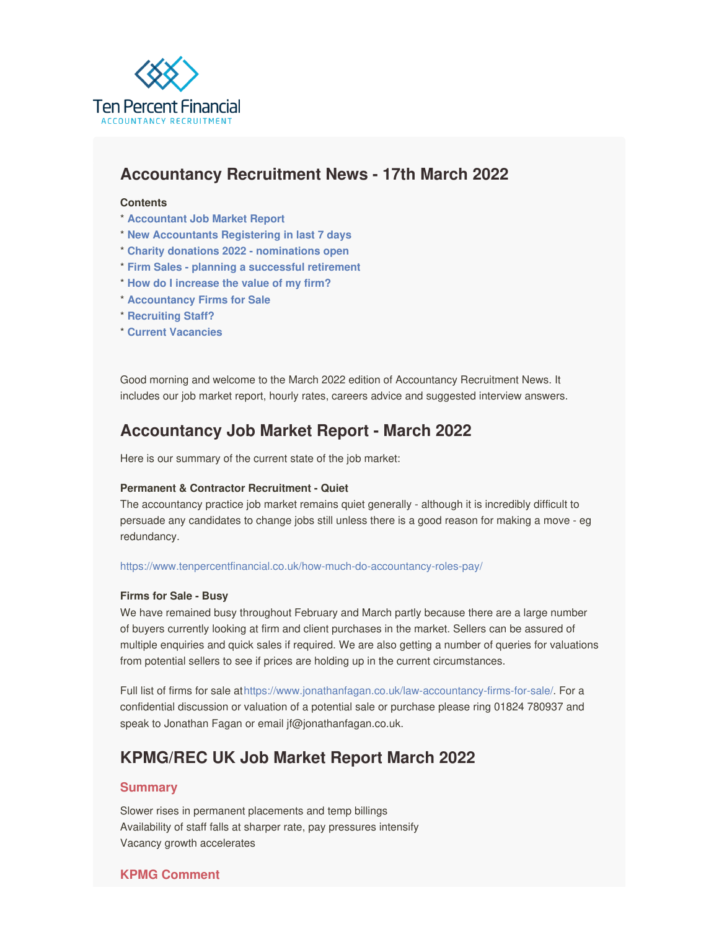<span id="page-0-0"></span>

# **Accountancy Recruitment News - 17th March 2022**

#### **Contents**

- \* **[Accountant](#page-0-0) Job Market Report**
- \* **New [Accountants](#page-0-0) Registering in last 7 days**
- \* **Charity donations 2022 - [nominations](#page-0-0) open**
- \* **Firm Sales - planning a [successful](#page-0-0) retirement**
- \* **How do I [increase](#page-0-0) the value of my firm?**
- \* **[Accountancy](https://www.jonathanfagan.co.uk/law-accountancy-firms-for-sale/) Firms for Sale**
- \* **[Recruiting](https://www.tenpercentfinancial.co.uk/register-a-vacancy/) Staff?**
- \* **Current [Vacancies](https://www.tenpercentfinancial.co.uk/vacancies/)**

Good morning and welcome to the March 2022 edition of Accountancy Recruitment News. It includes our job market report, hourly rates, careers advice and suggested interview answers.

# **Accountancy Job Market Report - March 2022**

Here is our summary of the current state of the job market:

#### **Permanent & Contractor Recruitment - Quiet**

The accountancy practice job market remains quiet generally - although it is incredibly difficult to persuade any candidates to change jobs still unless there is a good reason for making a move - eg redundancy.

#### <https://www.tenpercentfinancial.co.uk/how-much-do-accountancy-roles-pay/>

#### **Firms for Sale - Busy**

We have remained busy throughout February and March partly because there are a large number of buyers currently looking at firm and client purchases in the market. Sellers can be assured of multiple enquiries and quick sales if required. We are also getting a number of queries for valuations from potential sellers to see if prices are holding up in the current circumstances.

Full list of firms for sale at<https://www.jonathanfagan.co.uk/law-accountancy-firms-for-sale/>. For a confidential discussion or valuation of a potential sale or purchase please ring 01824 780937 and speak to Jonathan Fagan or email jf@jonathanfagan.co.uk.

## **KPMG/REC UK Job Market Report March 2022**

#### **Summary**

Slower rises in permanent placements and temp billings Availability of staff falls at sharper rate, pay pressures intensify Vacancy growth accelerates

#### **KPMG Comment**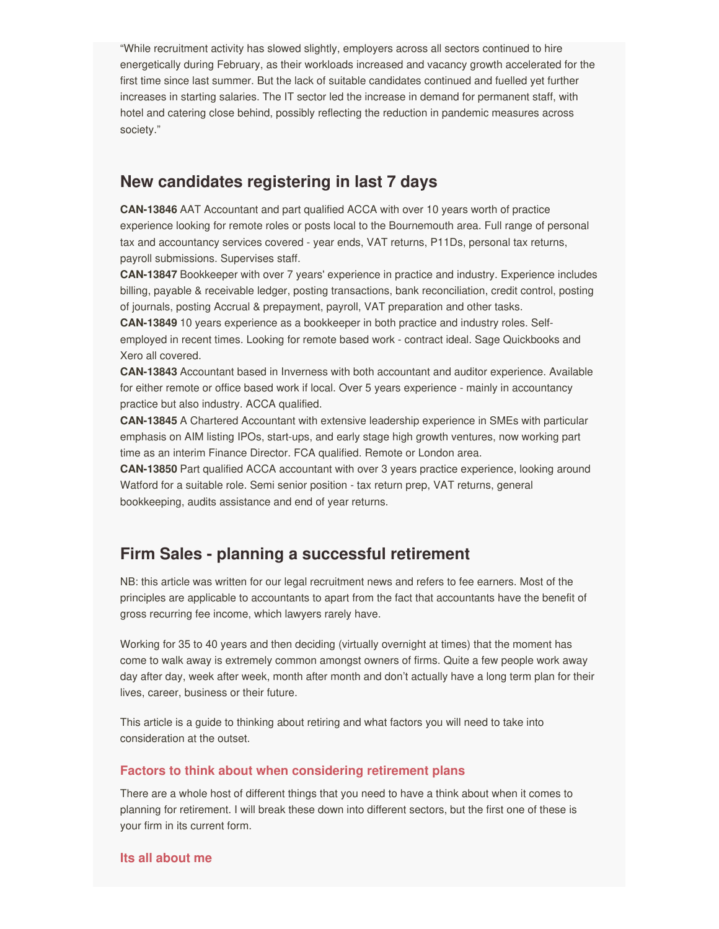"While recruitment activity has slowed slightly, employers across all sectors continued to hire energetically during February, as their workloads increased and vacancy growth accelerated for the first time since last summer. But the lack of suitable candidates continued and fuelled yet further increases in starting salaries. The IT sector led the increase in demand for permanent staff, with hotel and catering close behind, possibly reflecting the reduction in pandemic measures across society."

## **New candidates registering in last 7 days**

**CAN-13846** AAT Accountant and part qualified ACCA with over 10 years worth of practice experience looking for remote roles or posts local to the Bournemouth area. Full range of personal tax and accountancy services covered - year ends, VAT returns, P11Ds, personal tax returns, payroll submissions. Supervises staff.

**CAN-13847** Bookkeeper with over 7 years' experience in practice and industry. Experience includes billing, payable & receivable ledger, posting transactions, bank reconciliation, credit control, posting of journals, posting Accrual & prepayment, payroll, VAT preparation and other tasks.

**CAN-13849** 10 years experience as a bookkeeper in both practice and industry roles. Selfemployed in recent times. Looking for remote based work - contract ideal. Sage Quickbooks and Xero all covered.

**CAN-13843** Accountant based in Inverness with both accountant and auditor experience. Available for either remote or office based work if local. Over 5 years experience - mainly in accountancy practice but also industry. ACCA qualified.

**CAN-13845** A Chartered Accountant with extensive leadership experience in SMEs with particular emphasis on AIM listing IPOs, start-ups, and early stage high growth ventures, now working part time as an interim Finance Director. FCA qualified. Remote or London area.

**CAN-13850** Part qualified ACCA accountant with over 3 years practice experience, looking around Watford for a suitable role. Semi senior position - tax return prep, VAT returns, general bookkeeping, audits assistance and end of year returns.

## **Firm Sales - planning a successful retirement**

NB: this article was written for our legal recruitment news and refers to fee earners. Most of the principles are applicable to accountants to apart from the fact that accountants have the benefit of gross recurring fee income, which lawyers rarely have.

Working for 35 to 40 years and then deciding (virtually overnight at times) that the moment has come to walk away is extremely common amongst owners of firms. Quite a few people work away day after day, week after week, month after month and don't actually have a long term plan for their lives, career, business or their future.

This article is a guide to thinking about retiring and what factors you will need to take into consideration at the outset.

#### **Factors to think about when considering retirement plans**

There are a whole host of different things that you need to have a think about when it comes to planning for retirement. I will break these down into different sectors, but the first one of these is your firm in its current form.

**Its all about me**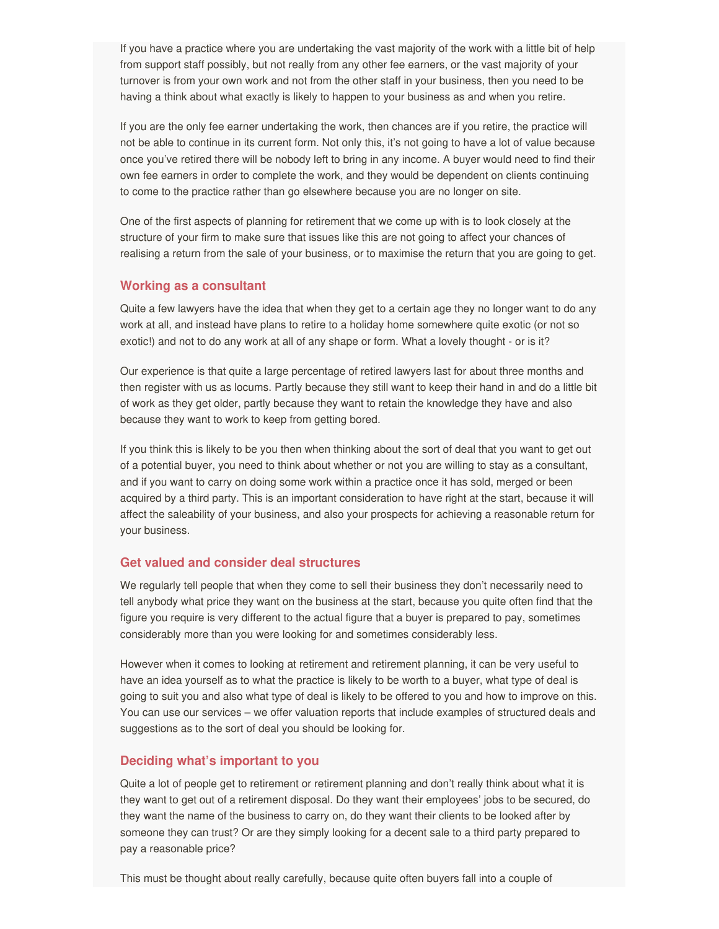If you have a practice where you are undertaking the vast majority of the work with a little bit of help from support staff possibly, but not really from any other fee earners, or the vast majority of your turnover is from your own work and not from the other staff in your business, then you need to be having a think about what exactly is likely to happen to your business as and when you retire.

If you are the only fee earner undertaking the work, then chances are if you retire, the practice will not be able to continue in its current form. Not only this, it's not going to have a lot of value because once you've retired there will be nobody left to bring in any income. A buyer would need to find their own fee earners in order to complete the work, and they would be dependent on clients continuing to come to the practice rather than go elsewhere because you are no longer on site.

One of the first aspects of planning for retirement that we come up with is to look closely at the structure of your firm to make sure that issues like this are not going to affect your chances of realising a return from the sale of your business, or to maximise the return that you are going to get.

#### **Working as a consultant**

Quite a few lawyers have the idea that when they get to a certain age they no longer want to do any work at all, and instead have plans to retire to a holiday home somewhere quite exotic (or not so exotic!) and not to do any work at all of any shape or form. What a lovely thought - or is it?

Our experience is that quite a large percentage of retired lawyers last for about three months and then register with us as locums. Partly because they still want to keep their hand in and do a little bit of work as they get older, partly because they want to retain the knowledge they have and also because they want to work to keep from getting bored.

If you think this is likely to be you then when thinking about the sort of deal that you want to get out of a potential buyer, you need to think about whether or not you are willing to stay as a consultant, and if you want to carry on doing some work within a practice once it has sold, merged or been acquired by a third party. This is an important consideration to have right at the start, because it will affect the saleability of your business, and also your prospects for achieving a reasonable return for your business.

#### **Get valued and consider deal structures**

We regularly tell people that when they come to sell their business they don't necessarily need to tell anybody what price they want on the business at the start, because you quite often find that the figure you require is very different to the actual figure that a buyer is prepared to pay, sometimes considerably more than you were looking for and sometimes considerably less.

However when it comes to looking at retirement and retirement planning, it can be very useful to have an idea yourself as to what the practice is likely to be worth to a buyer, what type of deal is going to suit you and also what type of deal is likely to be offered to you and how to improve on this. You can use our services – we offer valuation reports that include examples of structured deals and suggestions as to the sort of deal you should be looking for.

#### **Deciding what's important to you**

Quite a lot of people get to retirement or retirement planning and don't really think about what it is they want to get out of a retirement disposal. Do they want their employees' jobs to be secured, do they want the name of the business to carry on, do they want their clients to be looked after by someone they can trust? Or are they simply looking for a decent sale to a third party prepared to pay a reasonable price?

This must be thought about really carefully, because quite often buyers fall into a couple of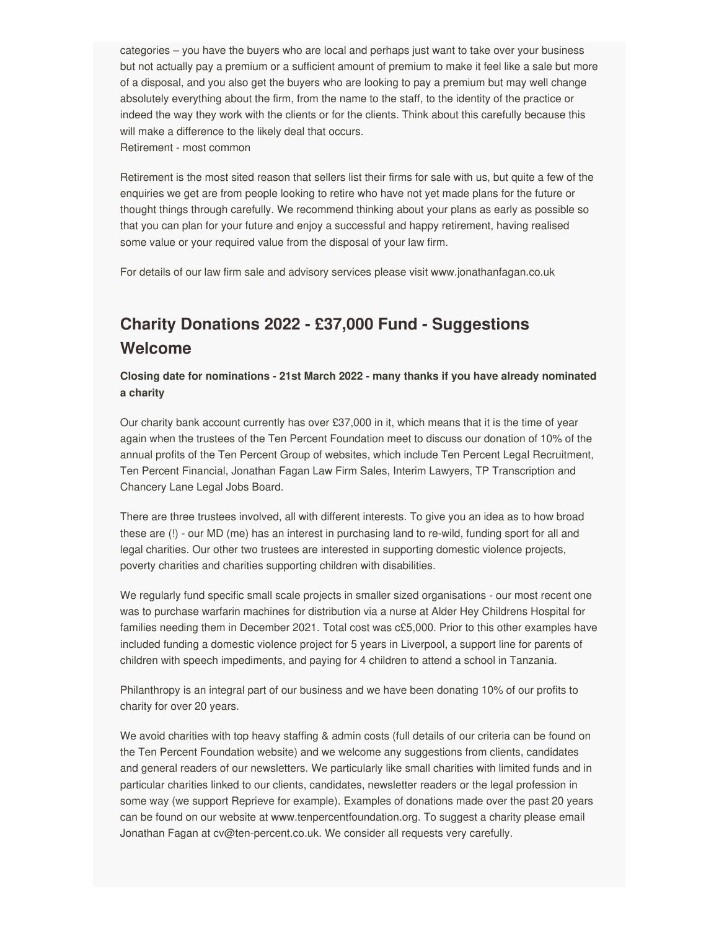categories – you have the buyers who are local and perhaps just want to take over your business but not actually pay a premium or a sufficient amount of premium to make it feel like a sale but more of a disposal, and you also get the buyers who are looking to pay a premium but may well change absolutely everything about the firm, from the name to the staff, to the identity of the practice or indeed the way they work with the clients or for the clients. Think about this carefully because this will make a difference to the likely deal that occurs. Retirement - most common

Retirement is the most sited reason that sellers list their firms for sale with us, but quite a few of the enquiries we get are from people looking to retire who have not yet made plans for the future or thought things through carefully. We recommend thinking about your plans as early as possible so that you can plan for your future and enjoy a successful and happy retirement, having realised some value or your required value from the disposal of your law firm.

For details of our law firm sale and advisory services please visit www.jonathanfagan.co.uk

# **Charity Donations 2022 - £37,000 Fund - Suggestions Welcome**

**Closing date for nominations - 21st March 2022 - many thanks if you have already nominated a charity**

Our charity bank account currently has over £37,000 in it, which means that it is the time of year again when the trustees of the Ten Percent Foundation meet to discuss our donation of 10% of the annual profits of the Ten Percent Group of websites, which include Ten Percent Legal Recruitment, Ten Percent Financial, Jonathan Fagan Law Firm Sales, Interim Lawyers, TP Transcription and Chancery Lane Legal Jobs Board.

There are three trustees involved, all with different interests. To give you an idea as to how broad these are (!) - our MD (me) has an interest in purchasing land to re-wild, funding sport for all and legal charities. Our other two trustees are interested in supporting domestic violence projects, poverty charities and charities supporting children with disabilities.

We regularly fund specific small scale projects in smaller sized organisations - our most recent one was to purchase warfarin machines for distribution via a nurse at Alder Hey Childrens Hospital for families needing them in December 2021. Total cost was c£5,000. Prior to this other examples have included funding a domestic violence project for 5 years in Liverpool, a support line for parents of children with speech impediments, and paying for 4 children to attend a school in Tanzania.

Philanthropy is an integral part of our business and we have been donating 10% of our profits to charity for over 20 years.

We avoid charities with top heavy staffing & admin costs (full details of our criteria can be found on the Ten Percent Foundation website) and we welcome any suggestions from clients, candidates and general readers of our newsletters. We particularly like small charities with limited funds and in particular charities linked to our clients, candidates, newsletter readers or the legal profession in some way (we support Reprieve for example). Examples of donations made over the past 20 years can be found on our website at www.tenpercentfoundation.org. To suggest a charity please email Jonathan Fagan at cv@ten-percent.co.uk. We consider all requests very carefully.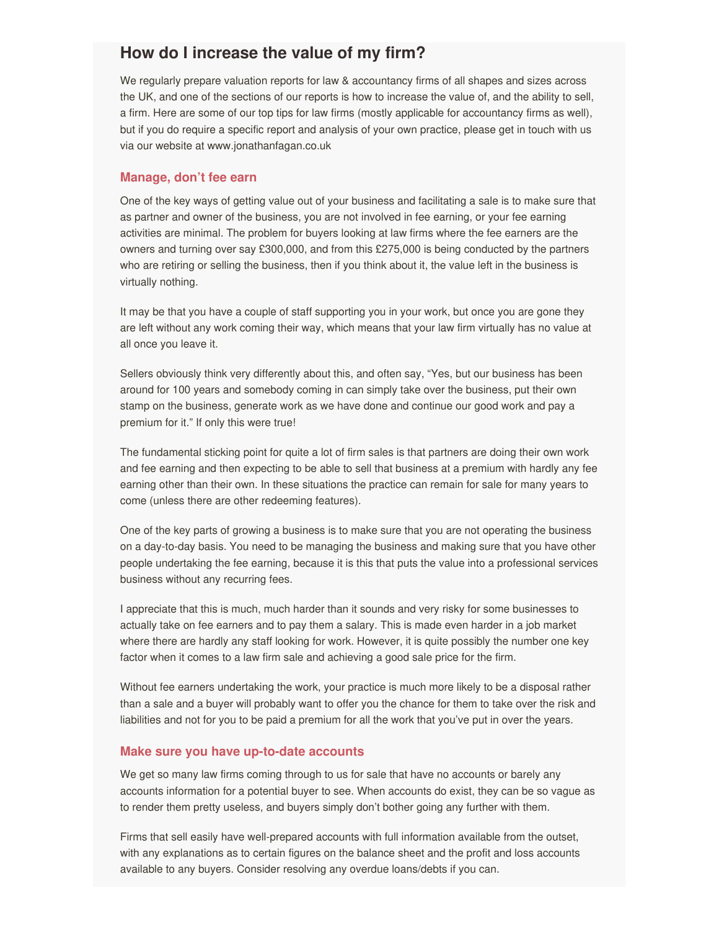## **How do I increase the value of my firm?**

We regularly prepare valuation reports for law & accountancy firms of all shapes and sizes across the UK, and one of the sections of our reports is how to increase the value of, and the ability to sell, a firm. Here are some of our top tips for law firms (mostly applicable for accountancy firms as well), but if you do require a specific report and analysis of your own practice, please get in touch with us via our website at www.jonathanfagan.co.uk

#### **Manage, don't fee earn**

One of the key ways of getting value out of your business and facilitating a sale is to make sure that as partner and owner of the business, you are not involved in fee earning, or your fee earning activities are minimal. The problem for buyers looking at law firms where the fee earners are the owners and turning over say £300,000, and from this £275,000 is being conducted by the partners who are retiring or selling the business, then if you think about it, the value left in the business is virtually nothing.

It may be that you have a couple of staff supporting you in your work, but once you are gone they are left without any work coming their way, which means that your law firm virtually has no value at all once you leave it.

Sellers obviously think very differently about this, and often say, "Yes, but our business has been around for 100 years and somebody coming in can simply take over the business, put their own stamp on the business, generate work as we have done and continue our good work and pay a premium for it." If only this were true!

The fundamental sticking point for quite a lot of firm sales is that partners are doing their own work and fee earning and then expecting to be able to sell that business at a premium with hardly any fee earning other than their own. In these situations the practice can remain for sale for many years to come (unless there are other redeeming features).

One of the key parts of growing a business is to make sure that you are not operating the business on a day-to-day basis. You need to be managing the business and making sure that you have other people undertaking the fee earning, because it is this that puts the value into a professional services business without any recurring fees.

I appreciate that this is much, much harder than it sounds and very risky for some businesses to actually take on fee earners and to pay them a salary. This is made even harder in a job market where there are hardly any staff looking for work. However, it is quite possibly the number one key factor when it comes to a law firm sale and achieving a good sale price for the firm.

Without fee earners undertaking the work, your practice is much more likely to be a disposal rather than a sale and a buyer will probably want to offer you the chance for them to take over the risk and liabilities and not for you to be paid a premium for all the work that you've put in over the years.

#### **Make sure you have up-to-date accounts**

We get so many law firms coming through to us for sale that have no accounts or barely any accounts information for a potential buyer to see. When accounts do exist, they can be so vague as to render them pretty useless, and buyers simply don't bother going any further with them.

Firms that sell easily have well-prepared accounts with full information available from the outset, with any explanations as to certain figures on the balance sheet and the profit and loss accounts available to any buyers. Consider resolving any overdue loans/debts if you can.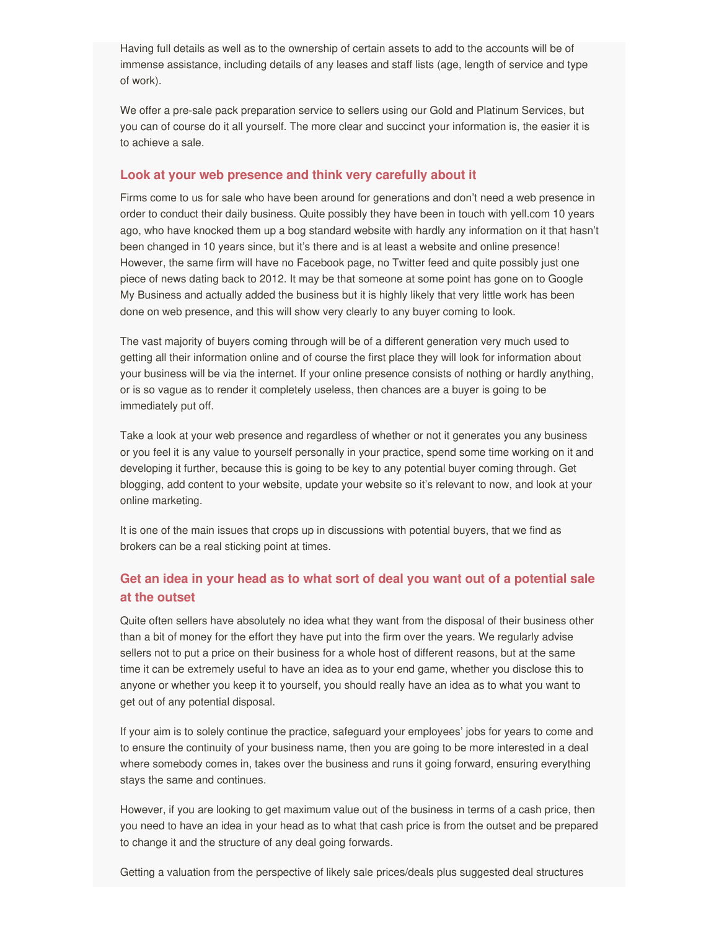Having full details as well as to the ownership of certain assets to add to the accounts will be of immense assistance, including details of any leases and staff lists (age, length of service and type of work).

We offer a pre-sale pack preparation service to sellers using our Gold and Platinum Services, but you can of course do it all yourself. The more clear and succinct your information is, the easier it is to achieve a sale.

#### **Look at your web presence and think very carefully about it**

Firms come to us for sale who have been around for generations and don't need a web presence in order to conduct their daily business. Quite possibly they have been in touch with yell.com 10 years ago, who have knocked them up a bog standard website with hardly any information on it that hasn't been changed in 10 years since, but it's there and is at least a website and online presence! However, the same firm will have no Facebook page, no Twitter feed and quite possibly just one piece of news dating back to 2012. It may be that someone at some point has gone on to Google My Business and actually added the business but it is highly likely that very little work has been done on web presence, and this will show very clearly to any buyer coming to look.

The vast majority of buyers coming through will be of a different generation very much used to getting all their information online and of course the first place they will look for information about your business will be via the internet. If your online presence consists of nothing or hardly anything, or is so vague as to render it completely useless, then chances are a buyer is going to be immediately put off.

Take a look at your web presence and regardless of whether or not it generates you any business or you feel it is any value to yourself personally in your practice, spend some time working on it and developing it further, because this is going to be key to any potential buyer coming through. Get blogging, add content to your website, update your website so it's relevant to now, and look at your online marketing.

It is one of the main issues that crops up in discussions with potential buyers, that we find as brokers can be a real sticking point at times.

### **Get an idea in your head as to what sort of deal you want out of a potential sale at the outset**

Quite often sellers have absolutely no idea what they want from the disposal of their business other than a bit of money for the effort they have put into the firm over the years. We regularly advise sellers not to put a price on their business for a whole host of different reasons, but at the same time it can be extremely useful to have an idea as to your end game, whether you disclose this to anyone or whether you keep it to yourself, you should really have an idea as to what you want to get out of any potential disposal.

If your aim is to solely continue the practice, safeguard your employees' jobs for years to come and to ensure the continuity of your business name, then you are going to be more interested in a deal where somebody comes in, takes over the business and runs it going forward, ensuring everything stays the same and continues.

However, if you are looking to get maximum value out of the business in terms of a cash price, then you need to have an idea in your head as to what that cash price is from the outset and be prepared to change it and the structure of any deal going forwards.

Getting a valuation from the perspective of likely sale prices/deals plus suggested deal structures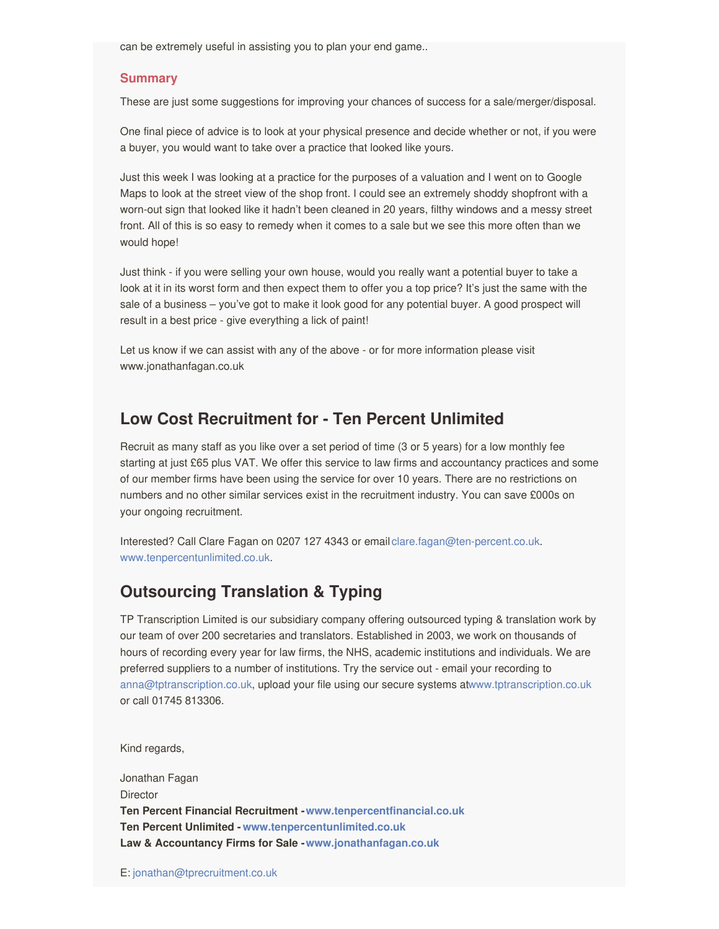can be extremely useful in assisting you to plan your end game..

#### **Summary**

These are just some suggestions for improving your chances of success for a sale/merger/disposal.

One final piece of advice is to look at your physical presence and decide whether or not, if you were a buyer, you would want to take over a practice that looked like yours.

Just this week I was looking at a practice for the purposes of a valuation and I went on to Google Maps to look at the street view of the shop front. I could see an extremely shoddy shopfront with a worn-out sign that looked like it hadn't been cleaned in 20 years, filthy windows and a messy street front. All of this is so easy to remedy when it comes to a sale but we see this more often than we would hope!

Just think - if you were selling your own house, would you really want a potential buyer to take a look at it in its worst form and then expect them to offer you a top price? It's just the same with the sale of a business – you've got to make it look good for any potential buyer. A good prospect will result in a best price - give everything a lick of paint!

Let us know if we can assist with any of the above - or for more information please visit www.jonathanfagan.co.uk

## **Low Cost Recruitment for - Ten Percent Unlimited**

Recruit as many staff as you like over a set period of time (3 or 5 years) for a low monthly fee starting at just £65 plus VAT. We offer this service to law firms and accountancy practices and some of our member firms have been using the service for over 10 years. There are no restrictions on numbers and no other similar services exist in the recruitment industry. You can save £000s on your ongoing recruitment.

Interested? Call Clare Fagan on 0207 127 4343 or email [clare.fagan@ten-percent.co.uk](mailto:clare.fagan@ten-percent.co.uk). [www.tenpercentunlimited.co.uk](https://www.tenpercentunlimited.co.uk).

## **Outsourcing Translation & Typing**

TP Transcription Limited is our subsidiary company offering outsourced typing & translation work by our team of over 200 secretaries and translators. Established in 2003, we work on thousands of hours of recording every year for law firms, the NHS, academic institutions and individuals. We are preferred suppliers to a number of institutions. Try the service out - email your recording to [anna@tptranscription.co.uk](mailto:anna@tptranscription.co.uk), upload your file using our secure systems a[twww.tptranscription.co.uk](https://www.tptranscription.co.uk) or call 01745 813306.

Kind regards,

Jonathan Fagan **Director Ten Percent Financial Recruitment -[www.tenpercentfinancial.co.uk](https://www.tenpercentfinancial.co.uk) Ten Percent Unlimited - [www.tenpercentunlimited.co.uk](https://www.tenpercentunlimited.co.uk) Law & Accountancy Firms for Sale -[www.jonathanfagan.co.uk](https://www.jonathanfagan.co.uk)**

E: [jonathan@tprecruitment.co.uk](mailto:jonathan@tprecruitment.co.uk)